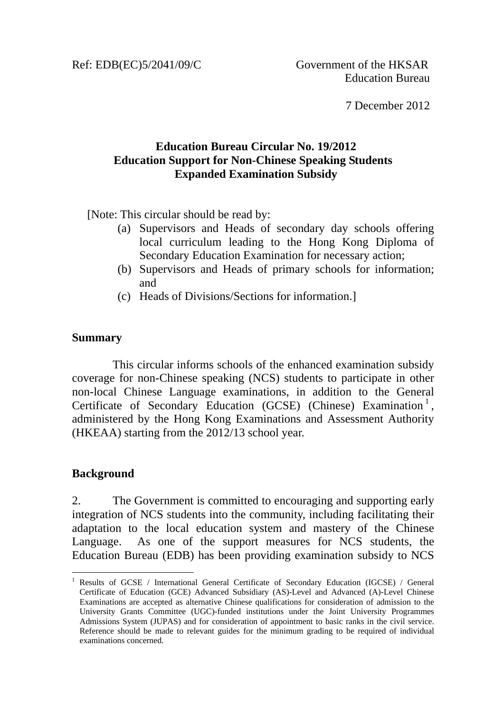Ref: EDB(EC)5/2041/09/C Government of the HKSAR

7 December 2012

## **Education Bureau Circular No. 19/2012 Education Support for Non-Chinese Speaking Students Expanded Examination Subsidy**

[Note: This circular should be read by:

- (a) Supervisors and Heads of secondary day schools offering local curriculum leading to the Hong Kong Diploma of Secondary Education Examination for necessary action;
- (b) Supervisors and Heads of primary schools for information; and
- (c) Heads of Divisions/Sections for information.]

### **Summary**

This circular informs schools of the enhanced examination subsidy coverage for non-Chinese speaking (NCS) students to participate in other non-local Chinese Language examinations, in addition to the General Certificate of Secondary Education (GCSE) (Chinese) Examination<sup>1</sup>, administered by the Hong Kong Examinations and Assessment Authority (HKEAA) starting from the 2012/13 school year.

# **Background**

1

2. The Government is committed to encouraging and supporting early integration of NCS students into the community, including facilitating their adaptation to the local education system and mastery of the Chinese Language. As one of the support measures for NCS students, the Education Bureau (EDB) has been providing examination subsidy to NCS

<sup>1</sup> Results of GCSE / International General Certificate of Secondary Education (IGCSE) / General Certificate of Education (GCE) Advanced Subsidiary (AS)-Level and Advanced (A)-Level Chinese Examinations are accepted as alternative Chinese qualifications for consideration of admission to the University Grants Committee (UGC)-funded institutions under the Joint University Programmes Admissions System (JUPAS) and for consideration of appointment to basic ranks in the civil service. Reference should be made to relevant guides for the minimum grading to be required of individual examinations concerned.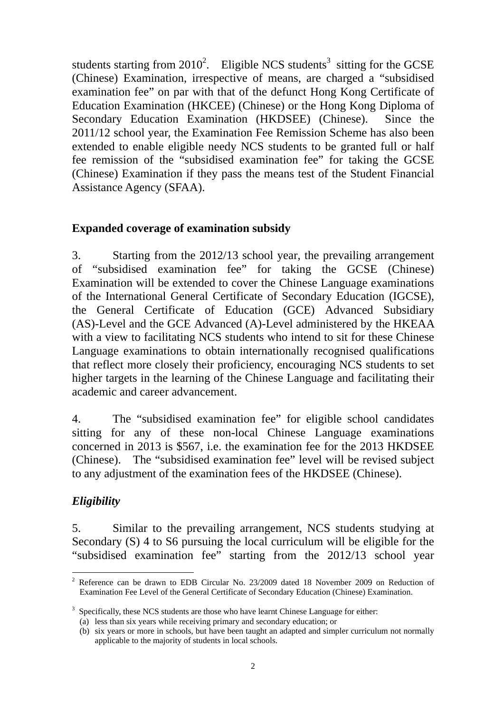students starting from  $2010^2$ . Eligible NCS students<sup>3</sup> sitting for the GCSE (Chinese) Examination, irrespective of means, are charged a "subsidised examination fee" on par with that of the defunct Hong Kong Certificate of Education Examination (HKCEE) (Chinese) or the Hong Kong Diploma of Secondary Education Examination (HKDSEE) (Chinese). Since the 2011/12 school year, the Examination Fee Remission Scheme has also been extended to enable eligible needy NCS students to be granted full or half fee remission of the "subsidised examination fee" for taking the GCSE (Chinese) Examination if they pass the means test of the Student Financial Assistance Agency (SFAA).

### **Expanded coverage of examination subsidy**

3. Starting from the 2012/13 school year, the prevailing arrangement of "subsidised examination fee" for taking the GCSE (Chinese) Examination will be extended to cover the Chinese Language examinations of the International General Certificate of Secondary Education (IGCSE), the General Certificate of Education (GCE) Advanced Subsidiary (AS)-Level and the GCE Advanced (A)-Level administered by the HKEAA with a view to facilitating NCS students who intend to sit for these Chinese Language examinations to obtain internationally recognised qualifications that reflect more closely their proficiency, encouraging NCS students to set higher targets in the learning of the Chinese Language and facilitating their academic and career advancement.

4. The "subsidised examination fee" for eligible school candidates sitting for any of these non-local Chinese Language examinations concerned in 2013 is \$567, i.e. the examination fee for the 2013 HKDSEE (Chinese). The "subsidised examination fee" level will be revised subject to any adjustment of the examination fees of the HKDSEE (Chinese).

# *Eligibility*

5. Similar to the prevailing arrangement, NCS students studying at Secondary (S) 4 to S6 pursuing the local curriculum will be eligible for the "subsidised examination fee" starting from the 2012/13 school year

<sup>1</sup> <sup>2</sup> Reference can be drawn to EDB Circular No. 23/2009 dated 18 November 2009 on Reduction of Examination Fee Level of the General Certificate of Secondary Education (Chinese) Examination.

<sup>3</sup> Specifically, these NCS students are those who have learnt Chinese Language for either:

<sup>(</sup>a) less than six years while receiving primary and secondary education; or

<sup>(</sup>b) six years or more in schools, but have been taught an adapted and simpler curriculum not normally applicable to the majority of students in local schools.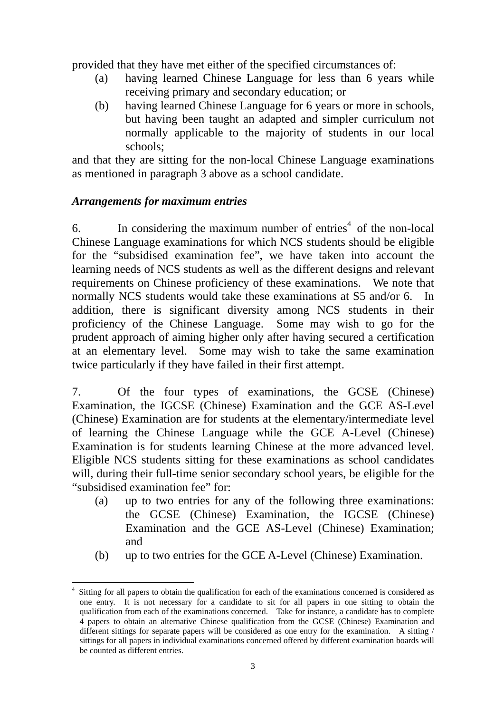provided that they have met either of the specified circumstances of:

- (a) having learned Chinese Language for less than 6 years while receiving primary and secondary education; or
- (b) having learned Chinese Language for 6 years or more in schools, but having been taught an adapted and simpler curriculum not normally applicable to the majority of students in our local schools;

and that they are sitting for the non-local Chinese Language examinations as mentioned in paragraph 3 above as a school candidate.

### *Arrangements for maximum entries*

1

6. In considering the maximum number of entries<sup>4</sup> of the non-local Chinese Language examinations for which NCS students should be eligible for the "subsidised examination fee", we have taken into account the learning needs of NCS students as well as the different designs and relevant requirements on Chinese proficiency of these examinations. We note that normally NCS students would take these examinations at S5 and/or 6. In addition, there is significant diversity among NCS students in their proficiency of the Chinese Language. Some may wish to go for the prudent approach of aiming higher only after having secured a certification at an elementary level. Some may wish to take the same examination twice particularly if they have failed in their first attempt.

7. Of the four types of examinations, the GCSE (Chinese) Examination, the IGCSE (Chinese) Examination and the GCE AS-Level (Chinese) Examination are for students at the elementary/intermediate level of learning the Chinese Language while the GCE A-Level (Chinese) Examination is for students learning Chinese at the more advanced level. Eligible NCS students sitting for these examinations as school candidates will, during their full-time senior secondary school years, be eligible for the "subsidised examination fee" for:

- (a) up to two entries for any of the following three examinations: the GCSE (Chinese) Examination, the IGCSE (Chinese) Examination and the GCE AS-Level (Chinese) Examination; and
- (b) up to two entries for the GCE A-Level (Chinese) Examination.

<sup>4</sup> Sitting for all papers to obtain the qualification for each of the examinations concerned is considered as one entry. It is not necessary for a candidate to sit for all papers in one sitting to obtain the qualification from each of the examinations concerned. Take for instance, a candidate has to complete 4 papers to obtain an alternative Chinese qualification from the GCSE (Chinese) Examination and different sittings for separate papers will be considered as one entry for the examination. A sitting / sittings for all papers in individual examinations concerned offered by different examination boards will be counted as different entries.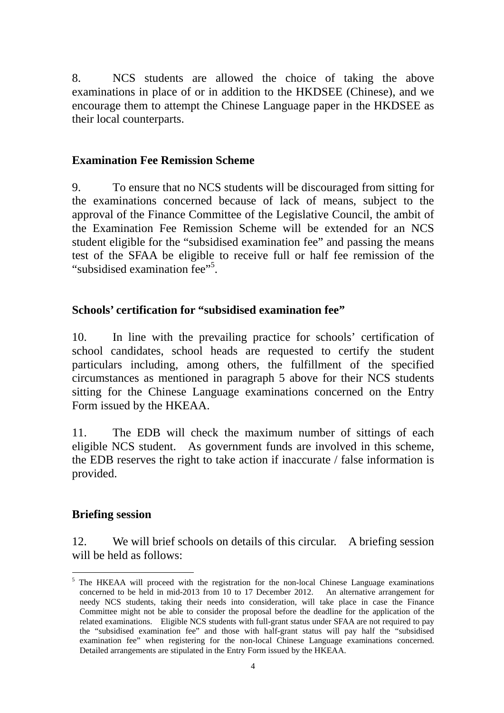8. NCS students are allowed the choice of taking the above examinations in place of or in addition to the HKDSEE (Chinese), and we encourage them to attempt the Chinese Language paper in the HKDSEE as their local counterparts.

### **Examination Fee Remission Scheme**

9. To ensure that no NCS students will be discouraged from sitting for the examinations concerned because of lack of means, subject to the approval of the Finance Committee of the Legislative Council, the ambit of the Examination Fee Remission Scheme will be extended for an NCS student eligible for the "subsidised examination fee" and passing the means test of the SFAA be eligible to receive full or half fee remission of the "subsidised examination fee"<sup>5</sup>.

### **Schools' certification for "subsidised examination fee"**

10. In line with the prevailing practice for schools' certification of school candidates, school heads are requested to certify the student particulars including, among others, the fulfillment of the specified circumstances as mentioned in paragraph 5 above for their NCS students sitting for the Chinese Language examinations concerned on the Entry Form issued by the HKEAA.

11. The EDB will check the maximum number of sittings of each eligible NCS student. As government funds are involved in this scheme, the EDB reserves the right to take action if inaccurate / false information is provided.

### **Briefing session**

1

12. We will brief schools on details of this circular. A briefing session will be held as follows:

<sup>&</sup>lt;sup>5</sup> The HKEAA will proceed with the registration for the non-local Chinese Language examinations concerned to be held in mid-2013 from 10 to 17 December 2012. An alternative arrangement for needy NCS students, taking their needs into consideration, will take place in case the Finance Committee might not be able to consider the proposal before the deadline for the application of the related examinations. Eligible NCS students with full-grant status under SFAA are not required to pay the "subsidised examination fee" and those with half-grant status will pay half the "subsidised examination fee" when registering for the non-local Chinese Language examinations concerned. Detailed arrangements are stipulated in the Entry Form issued by the HKEAA.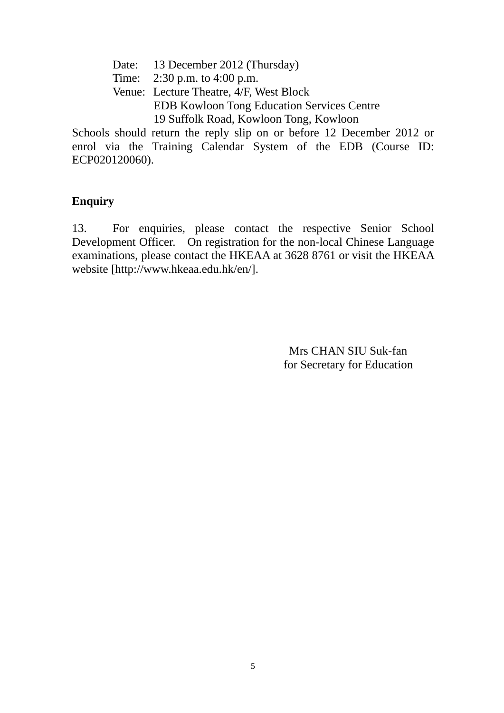- Date: 13 December 2012 (Thursday)
- Time: 2:30 p.m. to 4:00 p.m.
- Venue: Lecture Theatre, 4/F, West Block EDB Kowloon Tong Education Services Centre 19 Suffolk Road, Kowloon Tong, Kowloon

Schools should return the reply slip on or before 12 December 2012 or enrol via the Training Calendar System of the EDB (Course ID: ECP020120060).

## **Enquiry**

13.For enquiries, please contact the respective Senior School Development Officer. On registration for the non-local Chinese Language examinations, please contact the HKEAA at 3628 8761 or visit the HKEAA website [http://www.hkeaa.edu.hk/en/].

> Mrs CHAN SIU Suk-fan for Secretary for Education